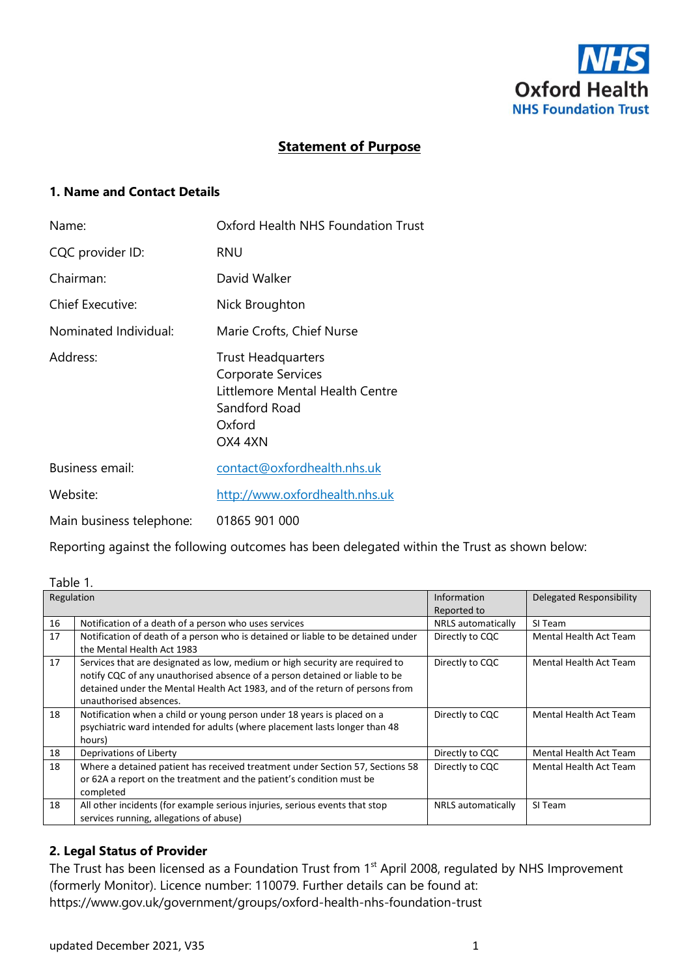

# **Statement of Purpose**

## **1. Name and Contact Details**

| Name:                    | Oxford Health NHS Foundation Trust                                                                                       |
|--------------------------|--------------------------------------------------------------------------------------------------------------------------|
| CQC provider ID:         | <b>RNU</b>                                                                                                               |
| Chairman:                | David Walker                                                                                                             |
| <b>Chief Executive:</b>  | Nick Broughton                                                                                                           |
| Nominated Individual:    | Marie Crofts, Chief Nurse                                                                                                |
| Address:                 | <b>Trust Headquarters</b><br>Corporate Services<br>Littlemore Mental Health Centre<br>Sandford Road<br>Oxford<br>OX4 4XN |
| <b>Business email:</b>   | contact@oxfordhealth.nhs.uk                                                                                              |
| Website:                 | http://www.oxfordhealth.nhs.uk                                                                                           |
| Main business telephone: | 01865 901 000                                                                                                            |

Reporting against the following outcomes has been delegated within the Trust as shown below:

| Table 1.   |                                                                                                                                                                                                                                                                       |                    |                               |
|------------|-----------------------------------------------------------------------------------------------------------------------------------------------------------------------------------------------------------------------------------------------------------------------|--------------------|-------------------------------|
| Regulation |                                                                                                                                                                                                                                                                       | Information        | Delegated Responsibility      |
|            |                                                                                                                                                                                                                                                                       | Reported to        |                               |
| 16         | Notification of a death of a person who uses services                                                                                                                                                                                                                 | NRLS automatically | SI Team                       |
| 17         | Notification of death of a person who is detained or liable to be detained under<br>the Mental Health Act 1983                                                                                                                                                        | Directly to CQC    | Mental Health Act Team        |
| 17         | Services that are designated as low, medium or high security are required to<br>notify CQC of any unauthorised absence of a person detained or liable to be<br>detained under the Mental Health Act 1983, and of the return of persons from<br>unauthorised absences. | Directly to CQC    | <b>Mental Health Act Team</b> |
| 18         | Notification when a child or young person under 18 years is placed on a<br>psychiatric ward intended for adults (where placement lasts longer than 48<br>hours)                                                                                                       | Directly to CQC    | Mental Health Act Team        |
| 18         | Deprivations of Liberty                                                                                                                                                                                                                                               | Directly to CQC    | Mental Health Act Team        |
| 18         | Where a detained patient has received treatment under Section 57, Sections 58<br>or 62A a report on the treatment and the patient's condition must be<br>completed                                                                                                    | Directly to CQC    | Mental Health Act Team        |
| 18         | All other incidents (for example serious injuries, serious events that stop<br>services running, allegations of abuse)                                                                                                                                                | NRLS automatically | SI Team                       |

### **2. Legal Status of Provider**

The Trust has been licensed as a Foundation Trust from 1<sup>st</sup> April 2008, regulated by NHS Improvement (formerly Monitor). Licence number: 110079. Further details can be found at: https://www.gov.uk/government/groups/oxford-health-nhs-foundation-trust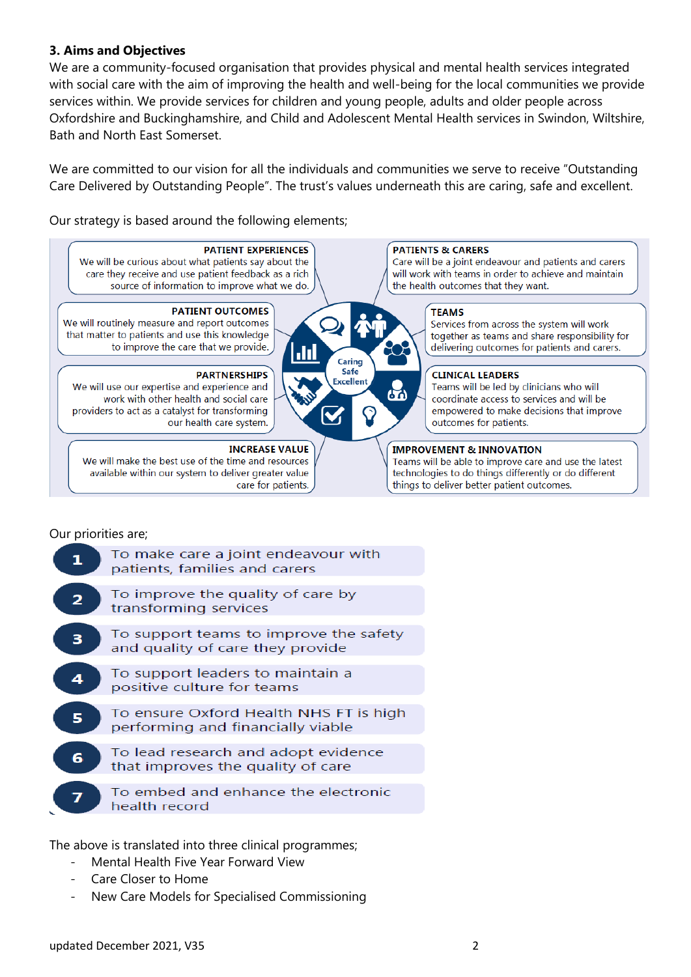## **3. Aims and Objectives**

We are a community-focused organisation that provides physical and mental health services integrated with social care with the aim of improving the health and well-being for the local communities we provide services within. We provide services for children and young people, adults and older people across Oxfordshire and Buckinghamshire, and Child and Adolescent Mental Health services in Swindon, Wiltshire, Bath and North East Somerset.

We are committed to our vision for all the individuals and communities we serve to receive "Outstanding Care Delivered by Outstanding People". The trust's values underneath this are caring, safe and excellent.

Our strategy is based around the following elements;



### Our priorities are;

|   | To make care a joint endeavour with<br>patients, families and carers        |
|---|-----------------------------------------------------------------------------|
|   | To improve the quality of care by<br>transforming services                  |
|   | To support teams to improve the safety<br>and quality of care they provide  |
| 4 | To support leaders to maintain a<br>positive culture for teams              |
|   | To ensure Oxford Health NHS FT is high<br>performing and financially viable |
|   | To lead research and adopt evidence<br>that improves the quality of care    |
|   | To embed and enhance the electronic<br>health record                        |
|   |                                                                             |

The above is translated into three clinical programmes;

- Mental Health Five Year Forward View
- Care Closer to Home
- New Care Models for Specialised Commissioning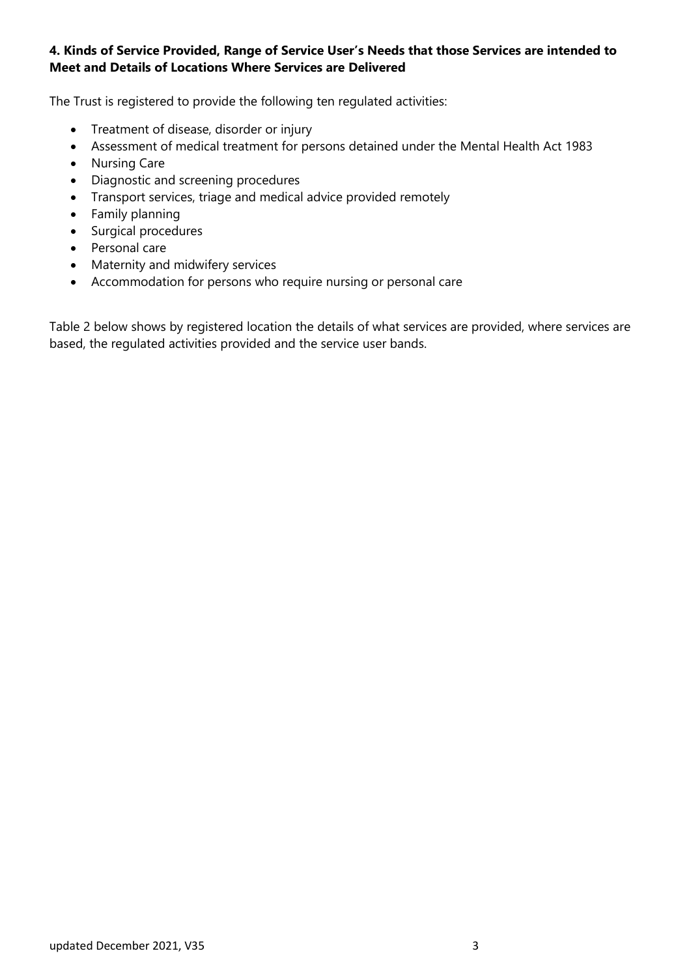# **4. Kinds of Service Provided, Range of Service User's Needs that those Services are intended to Meet and Details of Locations Where Services are Delivered**

The Trust is registered to provide the following ten regulated activities:

- Treatment of disease, disorder or injury
- Assessment of medical treatment for persons detained under the Mental Health Act 1983
- Nursing Care
- Diagnostic and screening procedures
- Transport services, triage and medical advice provided remotely
- Family planning
- Surgical procedures
- Personal care
- Maternity and midwifery services
- Accommodation for persons who require nursing or personal care

Table 2 below shows by registered location the details of what services are provided, where services are based, the regulated activities provided and the service user bands.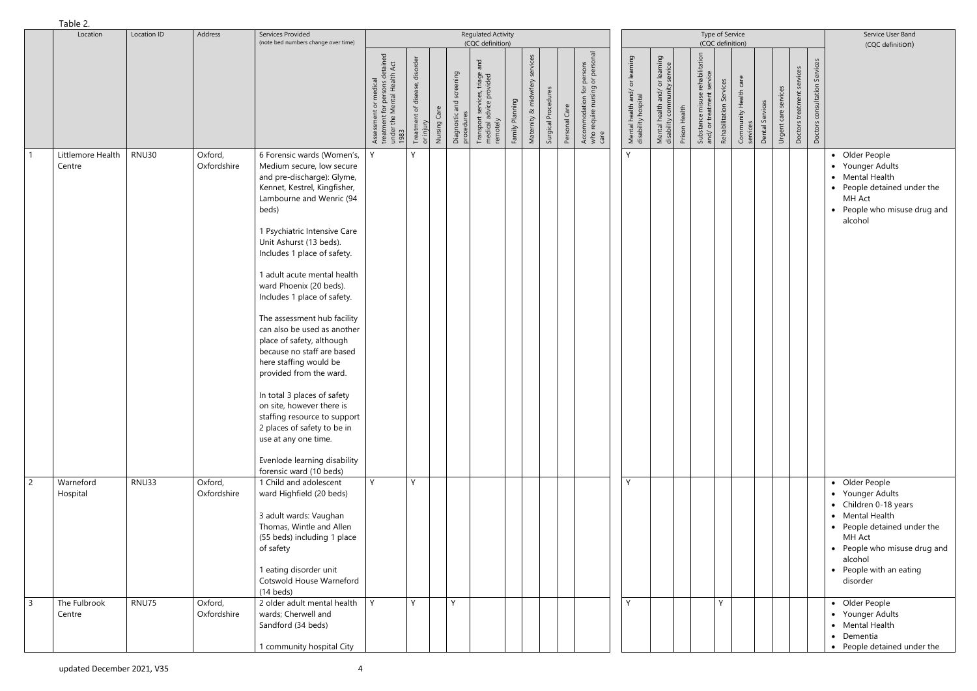|                | $I$ apic $L$ .<br>Location  | Location ID  | Address                | Services Provided<br>(note bed numbers change over time)                                                                                                                                                                                                                                                                                                                                                                                                                                                                                                                                                                                                                                                                                  | <b>Regulated Activity</b><br>(CQC definition)                                                  |                                                             |                                        |                                                                            |                 |                                   |                     |                                                                                                      |        |                                                       |                                                                |               | Type of Service<br>(CQC definition)                                      | Service User Band<br>(CQC definition) |                       |                 |                         |                            |                                  |                                                                                                                                                                                                           |
|----------------|-----------------------------|--------------|------------------------|-------------------------------------------------------------------------------------------------------------------------------------------------------------------------------------------------------------------------------------------------------------------------------------------------------------------------------------------------------------------------------------------------------------------------------------------------------------------------------------------------------------------------------------------------------------------------------------------------------------------------------------------------------------------------------------------------------------------------------------------|------------------------------------------------------------------------------------------------|-------------------------------------------------------------|----------------------------------------|----------------------------------------------------------------------------|-----------------|-----------------------------------|---------------------|------------------------------------------------------------------------------------------------------|--------|-------------------------------------------------------|----------------------------------------------------------------|---------------|--------------------------------------------------------------------------|---------------------------------------|-----------------------|-----------------|-------------------------|----------------------------|----------------------------------|-----------------------------------------------------------------------------------------------------------------------------------------------------------------------------------------------------------|
|                |                             |              |                        |                                                                                                                                                                                                                                                                                                                                                                                                                                                                                                                                                                                                                                                                                                                                           | Assessment or medical<br>treatment for persons detained<br>under the Mental Health Act<br>1983 | Treatment of disease, disorder<br>or injury<br>Nursing Care | Diagnostic and screening<br>procedures | and<br>Transport services, triage a<br>medical advice provided<br>remotely | Family Planning | services<br>Maternity & midwifery | Surgical Procedures | persons<br>or persor<br>for<br>ing<br>Accommodation f<br>who require nursir<br>care<br>Personal Care |        | Mental health and/ or learning<br>disability hospital | Mental health and/ or learning<br>disability community service | Prison Health | rehabilitation<br>Substance misuse rehabili<br>and/ or treatment service | Rehabilitation Services               | Community Health care | Dental Services | services<br>Urgent care | Doctors treatment services | Services<br>Doctors consultation |                                                                                                                                                                                                           |
|                | Littlemore Health<br>Centre | <b>RNU30</b> | Oxford,<br>Oxfordshire | 6 Forensic wards (Women's,<br>Medium secure, low secure<br>and pre-discharge): Glyme,<br>Kennet, Kestrel, Kingfisher,<br>Lambourne and Wenric (94<br>beds)<br>1 Psychiatric Intensive Care<br>Unit Ashurst (13 beds).<br>Includes 1 place of safety.<br>1 adult acute mental health<br>ward Phoenix (20 beds).<br>Includes 1 place of safety.<br>The assessment hub facility<br>can also be used as another<br>place of safety, although<br>because no staff are based<br>here staffing would be<br>provided from the ward.<br>In total 3 places of safety<br>on site, however there is<br>staffing resource to support<br>2 places of safety to be in<br>use at any one time.<br>Evenlode learning disability<br>forensic ward (10 beds) |                                                                                                | $\vee$                                                      |                                        |                                                                            |                 |                                   |                     |                                                                                                      | $\vee$ |                                                       |                                                                |               |                                                                          |                                       |                       |                 |                         |                            |                                  | • Older People<br>• Younger Adults<br>• Mental Health<br>• People detained under the<br>MH Act<br>• People who misuse drug and<br>alcohol                                                                 |
| $\overline{2}$ | Warneford<br>Hospital       | RNU33        | Oxford,<br>Oxfordshire | 1 Child and adolescent<br>ward Highfield (20 beds)<br>3 adult wards: Vaughan<br>Thomas, Wintle and Allen<br>(55 beds) including 1 place<br>of safety<br>1 eating disorder unit<br>Cotswold House Warneford<br>$(14 \text{ beds})$                                                                                                                                                                                                                                                                                                                                                                                                                                                                                                         | Y                                                                                              | Y                                                           |                                        |                                                                            |                 |                                   |                     |                                                                                                      | Y      |                                                       |                                                                |               |                                                                          |                                       |                       |                 |                         |                            |                                  | • Older People<br>• Younger Adults<br>• Children 0-18 years<br>• Mental Health<br>• People detained under the<br>MH Act<br>• People who misuse drug and<br>alcohol<br>• People with an eating<br>disorder |
| $\overline{3}$ | The Fulbrook<br>Centre      | RNU75        | Oxford,<br>Oxfordshire | 2 older adult mental health<br>wards; Cherwell and<br>Sandford (34 beds)<br>1 community hospital City                                                                                                                                                                                                                                                                                                                                                                                                                                                                                                                                                                                                                                     | Y.                                                                                             | <b>V</b>                                                    | Y                                      |                                                                            |                 |                                   |                     |                                                                                                      | Y      |                                                       |                                                                |               |                                                                          | <b>V</b>                              |                       |                 |                         |                            |                                  | • Older People<br>• Younger Adults<br>• Mental Health<br>• Dementia<br>• People detained under the                                                                                                        |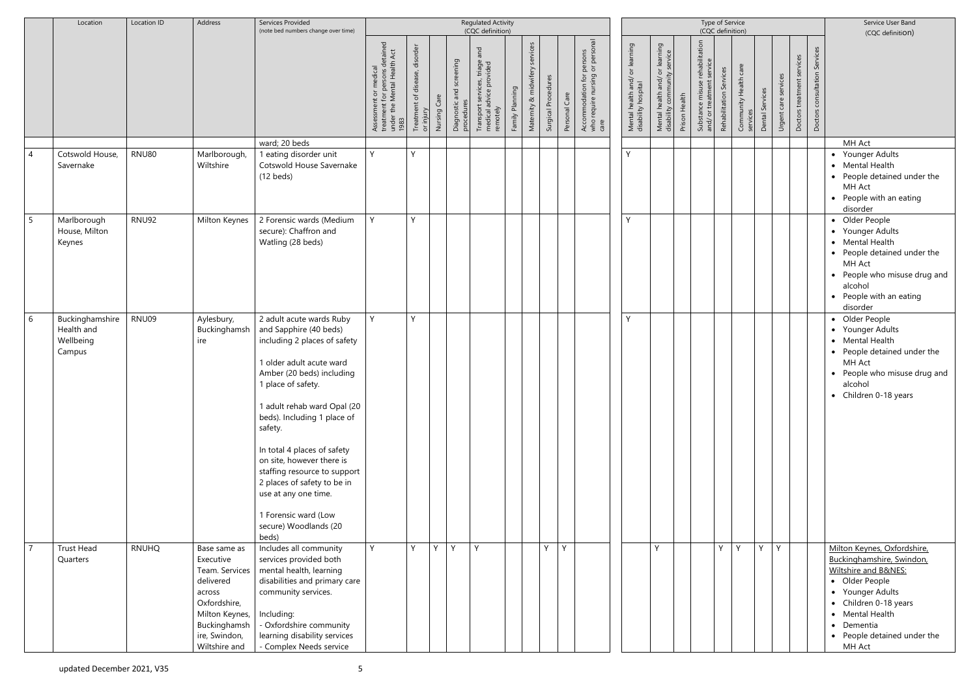|                | Location                                             | Location ID  | Address                                                                                                                                                | Services Provided<br>(note bed numbers change over time)                                                                                                                                                                                                                                                                                                                                                                                              |                                                                                                                                          |                                                |              |                                             | <b>Regulated Activity</b><br>(CQC definition)                                                |                 |                                   |                     | Type of Service<br>(CQC definition) |                                                                                            |                                                       |                                                                                           |               |                                                                                                   |                  |                 |                         |                               |                                     | Service User Band<br>(CQC definition)                                                                                                                                                                                     |
|----------------|------------------------------------------------------|--------------|--------------------------------------------------------------------------------------------------------------------------------------------------------|-------------------------------------------------------------------------------------------------------------------------------------------------------------------------------------------------------------------------------------------------------------------------------------------------------------------------------------------------------------------------------------------------------------------------------------------------------|------------------------------------------------------------------------------------------------------------------------------------------|------------------------------------------------|--------------|---------------------------------------------|----------------------------------------------------------------------------------------------|-----------------|-----------------------------------|---------------------|-------------------------------------|--------------------------------------------------------------------------------------------|-------------------------------------------------------|-------------------------------------------------------------------------------------------|---------------|---------------------------------------------------------------------------------------------------|------------------|-----------------|-------------------------|-------------------------------|-------------------------------------|---------------------------------------------------------------------------------------------------------------------------------------------------------------------------------------------------------------------------|
|                |                                                      |              |                                                                                                                                                        |                                                                                                                                                                                                                                                                                                                                                                                                                                                       | tained<br>Act<br>: for persons det<br>Mental Health<br>$\bar{\sigma}$<br>or medical<br>Assessment<br>treatment fo<br>under the M<br>1983 | disorder<br>Treatment of disease,<br>or injury | Nursing Care | screening<br>Diagnostic and s<br>procedures | and<br>triage<br>vided<br>Transport services,<br>medical advice pro<br>dvice pro<br>remotely | Family Planning | rvices<br>midwifer<br>Maternity & | Surgical Procedures | Personal Care                       | rsons<br>person<br>$\frac{5}{2}$<br>purs.<br>Accommodation f<br>who require nursin<br>care | Mental health and/ or learning<br>disability hospital | learning<br>service<br>$\overline{\circ}$<br>Mental health and/ c<br>disability community | Prison Health | rehabilitation<br>service<br>Rehabilitation Services<br>Substance misuse r<br>and/ or treatment s | Community Health | Dental Services | services<br>Urgent care | services<br>Doctors treatment | Services<br>consultation<br>Doctors |                                                                                                                                                                                                                           |
|                |                                                      |              |                                                                                                                                                        | ward; 20 beds                                                                                                                                                                                                                                                                                                                                                                                                                                         |                                                                                                                                          |                                                |              |                                             |                                                                                              |                 |                                   |                     |                                     |                                                                                            |                                                       |                                                                                           |               |                                                                                                   |                  |                 |                         |                               |                                     | MH Act                                                                                                                                                                                                                    |
| $\overline{4}$ | Cotswold House,<br>Savernake                         | <b>RNU80</b> | Marlborough,<br>Wiltshire                                                                                                                              | l eating disorder unit<br>Cotswold House Savernake<br>$(12 \text{ beds})$                                                                                                                                                                                                                                                                                                                                                                             | Y                                                                                                                                        | Y                                              |              |                                             |                                                                                              |                 |                                   |                     |                                     |                                                                                            | Y                                                     |                                                                                           |               |                                                                                                   |                  |                 |                         |                               |                                     | • Younger Adults<br>• Mental Health<br>• People detained under the<br>MH Act<br>• People with an eating<br>disorder                                                                                                       |
| 5              | Marlborough<br>House, Milton<br>Keynes               | <b>RNU92</b> | Milton Keynes                                                                                                                                          | 2 Forensic wards (Medium<br>secure): Chaffron and<br>Watling (28 beds)                                                                                                                                                                                                                                                                                                                                                                                | Y.                                                                                                                                       | Y                                              |              |                                             |                                                                                              |                 |                                   |                     |                                     |                                                                                            | Y                                                     |                                                                                           |               |                                                                                                   |                  |                 |                         |                               |                                     | • Older People<br>• Younger Adults<br>• Mental Health<br>• People detained under the<br>MH Act<br>• People who misuse drug and<br>alcohol<br>• People with an eating<br>disorder                                          |
| 6              | Buckinghamshire<br>Health and<br>Wellbeing<br>Campus | RNU09        | Aylesbury,<br>Buckinghamsh<br>ire                                                                                                                      | 2 adult acute wards Ruby<br>and Sapphire (40 beds)<br>including 2 places of safety<br>I older adult acute ward<br>Amber (20 beds) including<br>place of safety.<br>1 adult rehab ward Opal (20<br>beds). Including 1 place of<br>safety.<br>In total 4 places of safety<br>on site, however there is<br>staffing resource to support<br>2 places of safety to be in<br>use at any one time.<br>1 Forensic ward (Low<br>secure) Woodlands (20<br>beds) | Y.                                                                                                                                       | Y                                              |              |                                             |                                                                                              |                 |                                   |                     |                                     |                                                                                            | Y                                                     |                                                                                           |               |                                                                                                   |                  |                 |                         |                               |                                     | • Older People<br>• Younger Adults<br>• Mental Health<br>• People detained under the<br>MH Act<br>• People who misuse drug and<br>alcohol<br>• Children 0-18 years                                                        |
| $\overline{7}$ | <b>Trust Head</b><br>Quarters                        | <b>RNUHQ</b> | Base same as<br>Executive<br>Team. Services<br>delivered<br>across<br>Oxfordshire,<br>Milton Keynes,<br>Buckinghamsh<br>ire, Swindon,<br>Wiltshire and | Includes all community<br>services provided both<br>mental health, learning<br>disabilities and primary care<br>community services.<br>Including:<br>- Oxfordshire community<br>learning disability services<br>- Complex Needs service                                                                                                                                                                                                               | Y.                                                                                                                                       | Y                                              | $Y -$        | Y                                           | Y                                                                                            |                 |                                   | $Y \mid Y$          |                                     |                                                                                            |                                                       | V                                                                                         |               |                                                                                                   | $Y \mid Y$       | Y               | Y                       |                               |                                     | Milton Keynes, Oxfordshire,<br>Buckinghamshire, Swindon,<br>Wiltshire and B&NES:<br>• Older People<br>• Younger Adults<br>• Children 0-18 years<br>• Mental Health<br>• Dementia<br>• People detained under the<br>MH Act |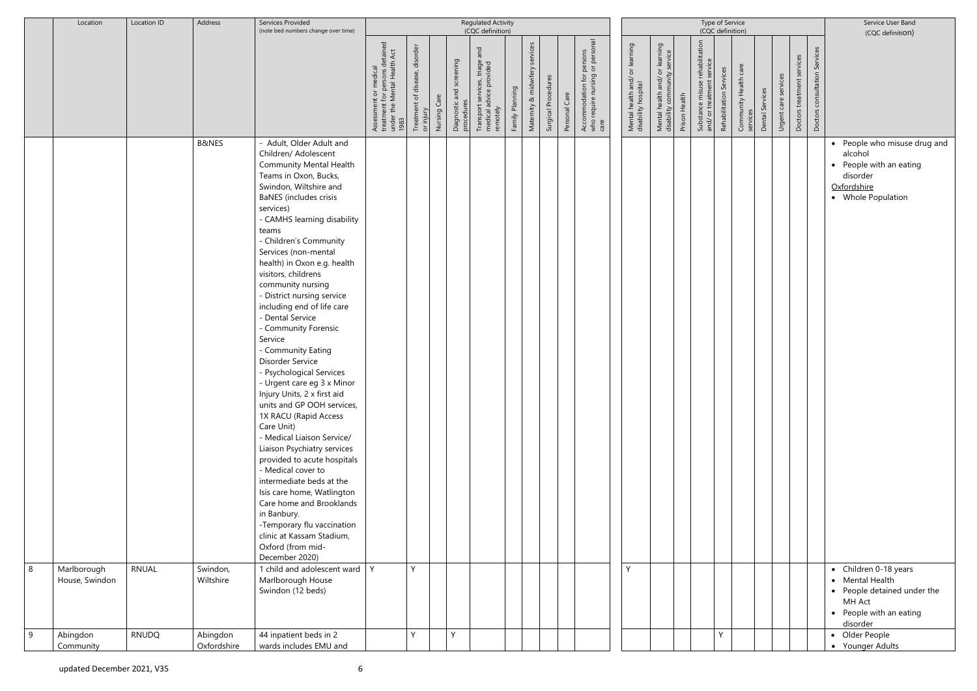|   | Location                      | Location ID  | Address                 | Services Provided<br>(note bed numbers change over time)                                                                                                                                                                                                                                                                                                                                                                                                                                                                                                                                                                                                                                                                                                                                                                                                                                                                                                                                                     |                                                                                                                     |                                                            |                                             |                                                                                                |                 | Type of Service<br>(CQC definition) |                     | Service User Band<br>(CQC definition)                                                           |                                                            |                                                                |               |                                                              |                         |                                   |                 |                      |                            |                                  |                                                                                                                     |
|---|-------------------------------|--------------|-------------------------|--------------------------------------------------------------------------------------------------------------------------------------------------------------------------------------------------------------------------------------------------------------------------------------------------------------------------------------------------------------------------------------------------------------------------------------------------------------------------------------------------------------------------------------------------------------------------------------------------------------------------------------------------------------------------------------------------------------------------------------------------------------------------------------------------------------------------------------------------------------------------------------------------------------------------------------------------------------------------------------------------------------|---------------------------------------------------------------------------------------------------------------------|------------------------------------------------------------|---------------------------------------------|------------------------------------------------------------------------------------------------|-----------------|-------------------------------------|---------------------|-------------------------------------------------------------------------------------------------|------------------------------------------------------------|----------------------------------------------------------------|---------------|--------------------------------------------------------------|-------------------------|-----------------------------------|-----------------|----------------------|----------------------------|----------------------------------|---------------------------------------------------------------------------------------------------------------------|
|   |                               |              |                         |                                                                                                                                                                                                                                                                                                                                                                                                                                                                                                                                                                                                                                                                                                                                                                                                                                                                                                                                                                                                              | detained<br>lth Act<br>alth<br>Assessment or medical<br>treatment for persons de<br>under the Mental Health<br>1983 | disorder<br>Treatment of disease,<br>Nursing Care<br>mjury | screening<br>Diagnostic and s<br>procedures | (CQC definition)<br>and<br>Transport services, triage a<br>medical advice provided<br>remotely | Family Planning | services<br>Maternity & midwifery   | Surgical Procedures | persons<br>or personal<br>Accommodation for p<br>who require nursing c<br>care<br>Personal Care | or learning<br>Mental health and/ o<br>disability hospital | Mental health and/ or learning<br>disability community service | Prison Health | Substance misuse rehabilitation<br>and/ or treatment service | Rehabilitation Services | Community Health care<br>services | Dental Services | Urgent care services | Doctors treatment services | Services<br>Doctors consultation |                                                                                                                     |
|   |                               |              | <b>B&amp;NES</b>        | - Adult, Older Adult and<br>Children/ Adolescent<br><b>Community Mental Health</b><br>Teams in Oxon, Bucks,<br>Swindon, Wiltshire and<br><b>BaNES</b> (includes crisis<br>services)<br>- CAMHS learning disability<br>teams<br>- Children's Community<br>Services (non-mental<br>health) in Oxon e.g. health<br>visitors, childrens<br>community nursing<br>- District nursing service<br>including end of life care<br>- Dental Service<br>- Community Forensic<br>Service<br>- Community Eating<br>Disorder Service<br>- Psychological Services<br>- Urgent care eg 3 x Minor<br>Injury Units, 2 x first aid<br>units and GP OOH services,<br>1X RACU (Rapid Access<br>Care Unit)<br>- Medical Liaison Service/<br>Liaison Psychiatry services<br>provided to acute hospitals<br>- Medical cover to<br>intermediate beds at the<br>Isis care home, Watlington<br>Care home and Brooklands<br>in Banbury.<br>-Temporary flu vaccination<br>clinic at Kassam Stadium,<br>Oxford (from mid-<br>December 2020) |                                                                                                                     |                                                            |                                             |                                                                                                |                 |                                     |                     |                                                                                                 |                                                            |                                                                |               |                                                              |                         |                                   |                 |                      |                            |                                  | • People who misuse drug and<br>alcohol<br>• People with an eating<br>disorder<br>Oxfordshire<br>• Whole Population |
| 8 | Marlborough<br>House, Swindon | <b>RNUAL</b> | Swindon,<br>Wiltshire   | 1 child and adolescent ward  <br>Marlborough House<br>Swindon (12 beds)                                                                                                                                                                                                                                                                                                                                                                                                                                                                                                                                                                                                                                                                                                                                                                                                                                                                                                                                      | Y                                                                                                                   | Y                                                          |                                             |                                                                                                |                 |                                     |                     |                                                                                                 | Y                                                          |                                                                |               |                                                              |                         |                                   |                 |                      |                            |                                  | • Children 0-18 years<br>• Mental Health<br>• People detained under the<br>MH Act<br>• People with an eating        |
| 9 | Abingdon<br>Community         | <b>RNUDQ</b> | Abingdon<br>Oxfordshire | 44 inpatient beds in 2<br>wards includes EMU and                                                                                                                                                                                                                                                                                                                                                                                                                                                                                                                                                                                                                                                                                                                                                                                                                                                                                                                                                             |                                                                                                                     | $\vee$                                                     | $\vee$                                      |                                                                                                |                 |                                     |                     |                                                                                                 |                                                            |                                                                |               |                                                              | Y                       |                                   |                 |                      |                            |                                  | disorder<br>• Older People<br>• Younger Adults                                                                      |